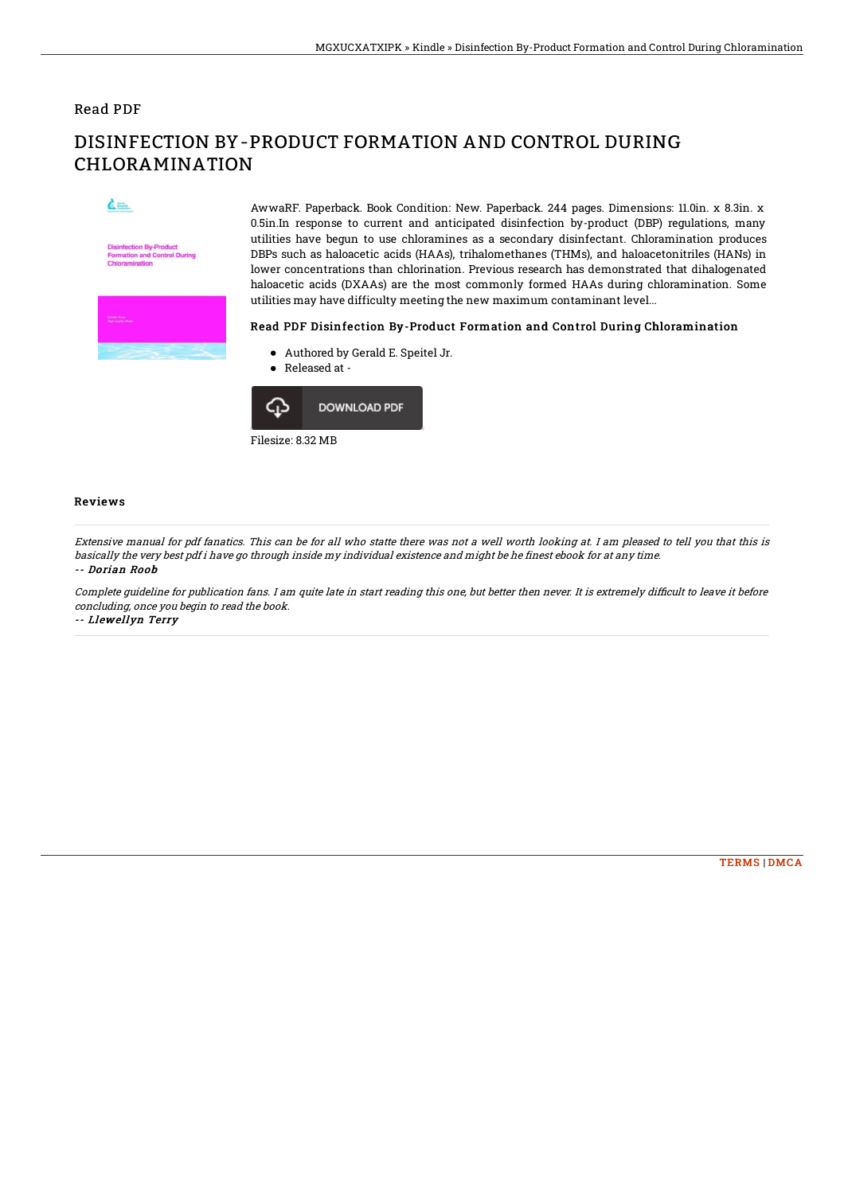### Read PDF

# DISINFECTION BY-PRODUCT FORMATION AND CONTROL DURING CHLORAMINATION

 $\mathcal{L}$ 



AwwaRF. Paperback. Book Condition: New. Paperback. 244 pages. Dimensions: 11.0in. x 8.3in. x 0.5in.In response to current and anticipated disinfection by-product (DBP) regulations, many utilities have begun to use chloramines as a secondary disinfectant. Chloramination produces DBPs such as haloacetic acids (HAAs), trihalomethanes (THMs), and haloacetonitriles (HANs) in lower concentrations than chlorination. Previous research has demonstrated that dihalogenated haloacetic acids (DXAAs) are the most commonly formed HAAs during chloramination. Some utilities may have difficulty meeting the new maximum contaminant level...

#### Read PDF Disinfection By-Product Formation and Control During Chloramination

- Authored by Gerald E. Speitel Jr.
- Released at -



#### Reviews

Extensive manual for pdf fanatics. This can be for all who statte there was not <sup>a</sup> well worth looking at. I am pleased to tell you that this is basically the very best pdf i have go through inside my individual existence and might be he finest ebook for at any time. -- Dorian Roob

Complete guideline for publication fans. I am quite late in start reading this one, but better then never. It is extremely difficult to leave it before concluding, once you begin to read the book. -- Llewellyn Terry